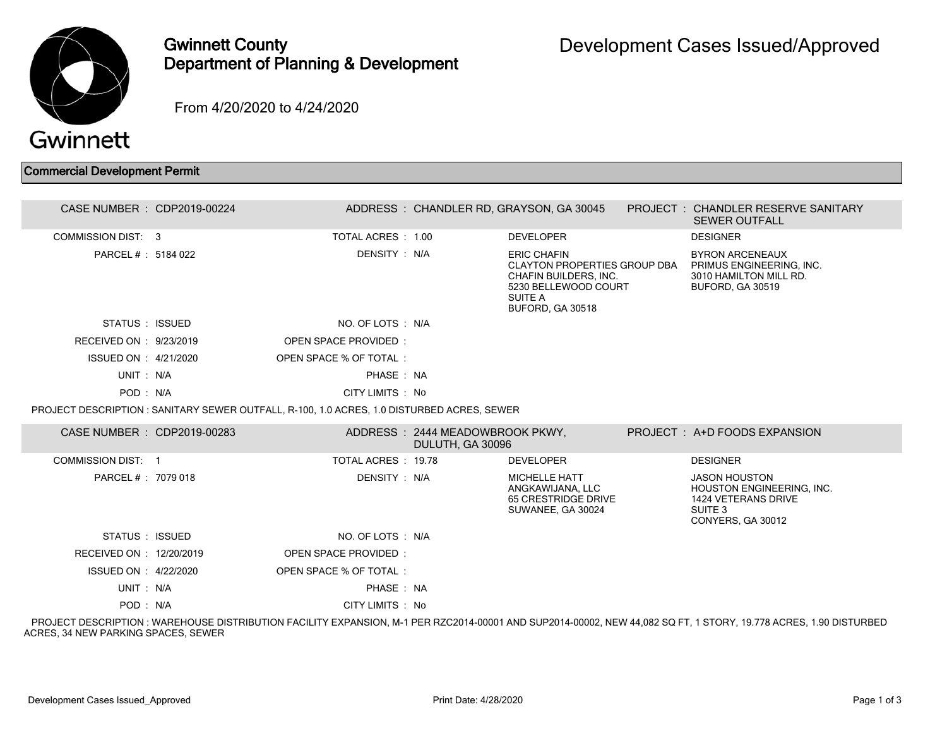

## Gwinnett County Department of Planning & Development

From 4/20/2020 to 4/24/2020

## Commercial Development Permit

| CASE NUMBER : CDP2019-00224 |                                                                                            |                                                     | ADDRESS: CHANDLER RD, GRAYSON, GA 30045                                                                                                   | PROJECT: CHANDLER RESERVE SANITARY<br><b>SEWER OUTFALL</b>                                                          |
|-----------------------------|--------------------------------------------------------------------------------------------|-----------------------------------------------------|-------------------------------------------------------------------------------------------------------------------------------------------|---------------------------------------------------------------------------------------------------------------------|
| <b>COMMISSION DIST: 3</b>   | TOTAL ACRES : 1.00                                                                         |                                                     | <b>DEVELOPER</b>                                                                                                                          | <b>DESIGNER</b>                                                                                                     |
| PARCEL # : 5184 022         | DENSITY: N/A                                                                               |                                                     | <b>ERIC CHAFIN</b><br>CLAYTON PROPERTIES GROUP DBA<br>CHAFIN BUILDERS, INC.<br>5230 BELLEWOOD COURT<br><b>SUITE A</b><br>BUFORD, GA 30518 | <b>BYRON ARCENEAUX</b><br>PRIMUS ENGINEERING, INC.<br>3010 HAMILTON MILL RD.<br>BUFORD, GA 30519                    |
| STATUS : ISSUED             | NO. OF LOTS : N/A                                                                          |                                                     |                                                                                                                                           |                                                                                                                     |
| RECEIVED ON : 9/23/2019     | <b>OPEN SPACE PROVIDED:</b>                                                                |                                                     |                                                                                                                                           |                                                                                                                     |
| ISSUED ON : 4/21/2020       | OPEN SPACE % OF TOTAL:                                                                     |                                                     |                                                                                                                                           |                                                                                                                     |
| UNIT: N/A                   | PHASE: NA                                                                                  |                                                     |                                                                                                                                           |                                                                                                                     |
| POD: N/A                    | CITY LIMITS: No                                                                            |                                                     |                                                                                                                                           |                                                                                                                     |
|                             | PROJECT DESCRIPTION : SANITARY SEWER OUTFALL, R-100, 1.0 ACRES, 1.0 DISTURBED ACRES, SEWER |                                                     |                                                                                                                                           |                                                                                                                     |
| CASE NUMBER : CDP2019-00283 |                                                                                            | ADDRESS: 2444 MEADOWBROOK PKWY,<br>DULUTH, GA 30096 |                                                                                                                                           | PROJECT: A+D FOODS EXPANSION                                                                                        |
| <b>COMMISSION DIST: 1</b>   | TOTAL ACRES: 19.78                                                                         |                                                     | <b>DEVELOPER</b>                                                                                                                          | <b>DESIGNER</b>                                                                                                     |
| PARCEL #: 7079 018          | DENSITY: N/A                                                                               |                                                     | <b>MICHELLE HATT</b><br>ANGKAWIJANA, LLC<br>65 CRESTRIDGE DRIVE<br>SUWANEE, GA 30024                                                      | <b>JASON HOUSTON</b><br>HOUSTON ENGINEERING, INC.<br>1424 VETERANS DRIVE<br>SUITE <sub>3</sub><br>CONYERS, GA 30012 |
| STATUS : ISSUED             | NO. OF LOTS : N/A                                                                          |                                                     |                                                                                                                                           |                                                                                                                     |
| RECEIVED ON : 12/20/2019    | <b>OPEN SPACE PROVIDED:</b>                                                                |                                                     |                                                                                                                                           |                                                                                                                     |
| ISSUED ON : 4/22/2020       | OPEN SPACE % OF TOTAL:                                                                     |                                                     |                                                                                                                                           |                                                                                                                     |
| UNIT: N/A                   | PHASE: NA                                                                                  |                                                     |                                                                                                                                           |                                                                                                                     |
| POD: N/A                    | CITY LIMITS : No                                                                           |                                                     |                                                                                                                                           |                                                                                                                     |

 PROJECT DESCRIPTION : WAREHOUSE DISTRIBUTION FACILITY EXPANSION, M-1 PER RZC2014-00001 AND SUP2014-00002, NEW 44,082 SQ FT, 1 STORY, 19.778 ACRES, 1.90 DISTURBED ACRES, 34 NEW PARKING SPACES, SEWER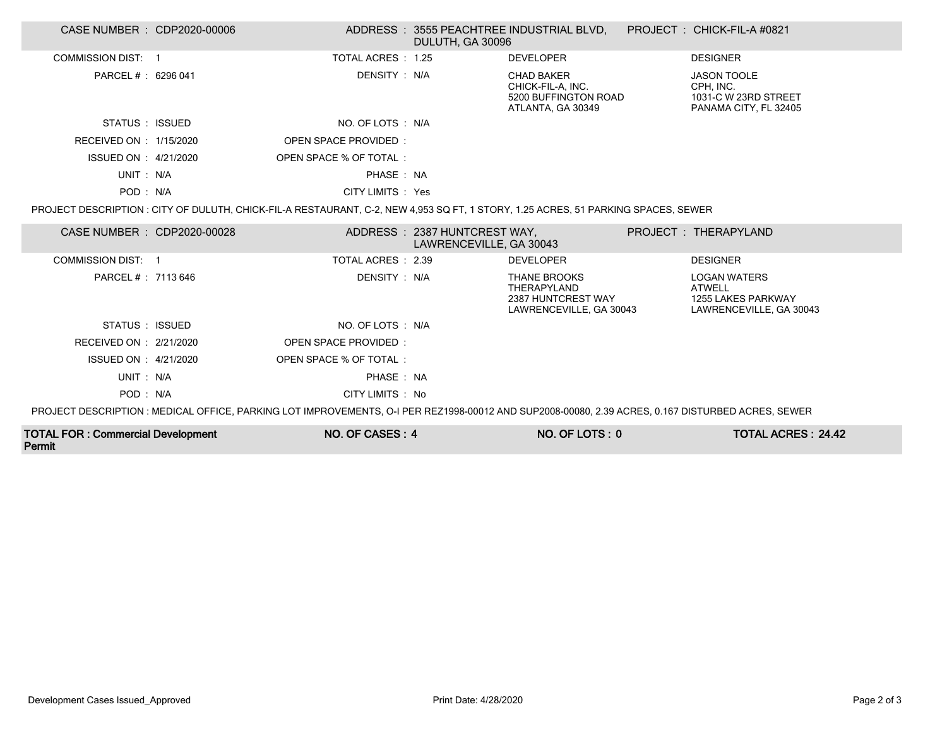| CASE NUMBER : CDP2020-00006                                                                                                                       |  |                         | DULUTH, GA 30096                                        | ADDRESS: 3555 PEACHTREE INDUSTRIAL BLVD, PROJECT: CHICK-FIL-A #0821                 |  |                                                                                       |  |
|---------------------------------------------------------------------------------------------------------------------------------------------------|--|-------------------------|---------------------------------------------------------|-------------------------------------------------------------------------------------|--|---------------------------------------------------------------------------------------|--|
| COMMISSION DIST: 1                                                                                                                                |  | TOTAL ACRES: 1.25       |                                                         | <b>DEVELOPER</b>                                                                    |  | <b>DESIGNER</b>                                                                       |  |
| PARCEL # : 6296 041                                                                                                                               |  | DENSITY : N/A           |                                                         | <b>CHAD BAKER</b><br>CHICK-FIL-A, INC.<br>5200 BUFFINGTON ROAD<br>ATLANTA, GA 30349 |  | JASON TOOLE<br>CPH, INC.<br>1031-C W 23RD STREET<br>PANAMA CITY, FL 32405             |  |
| STATUS : ISSUED                                                                                                                                   |  | NO. OF LOTS : N/A       |                                                         |                                                                                     |  |                                                                                       |  |
| RECEIVED ON : 1/15/2020                                                                                                                           |  | OPEN SPACE PROVIDED:    |                                                         |                                                                                     |  |                                                                                       |  |
| ISSUED ON : 4/21/2020                                                                                                                             |  | OPEN SPACE % OF TOTAL : |                                                         |                                                                                     |  |                                                                                       |  |
| UNIT: N/A                                                                                                                                         |  | PHASE: NA               |                                                         |                                                                                     |  |                                                                                       |  |
| POD: N/A                                                                                                                                          |  | CITY LIMITS : Yes       |                                                         |                                                                                     |  |                                                                                       |  |
| PROJECT DESCRIPTION : CITY OF DULUTH, CHICK-FIL-A RESTAURANT, C-2, NEW 4,953 SQ FT, 1 STORY, 1.25 ACRES, 51 PARKING SPACES, SEWER                 |  |                         |                                                         |                                                                                     |  |                                                                                       |  |
| CASE NUMBER : CDP2020-00028                                                                                                                       |  |                         | ADDRESS: 2387 HUNTCREST WAY,<br>LAWRENCEVILLE, GA 30043 |                                                                                     |  | PROJECT: THERAPYLAND                                                                  |  |
| COMMISSION DIST: 1                                                                                                                                |  | TOTAL ACRES: 2.39       |                                                         | <b>DEVELOPER</b>                                                                    |  | <b>DESIGNER</b>                                                                       |  |
| PARCEL #: 7113 646                                                                                                                                |  | DENSITY : N/A           |                                                         | <b>THANE BROOKS</b><br>THERAPYLAND<br>2387 HUNTCREST WAY<br>LAWRENCEVILLE, GA 30043 |  | <b>LOGAN WATERS</b><br><b>ATWELL</b><br>1255 LAKES PARKWAY<br>LAWRENCEVILLE, GA 30043 |  |
| STATUS : ISSUED                                                                                                                                   |  | NO. OF LOTS : N/A       |                                                         |                                                                                     |  |                                                                                       |  |
| RECEIVED ON : 2/21/2020                                                                                                                           |  | OPEN SPACE PROVIDED:    |                                                         |                                                                                     |  |                                                                                       |  |
| ISSUED ON : 4/21/2020                                                                                                                             |  | OPEN SPACE % OF TOTAL:  |                                                         |                                                                                     |  |                                                                                       |  |
| UNIT: N/A                                                                                                                                         |  | PHASE: NA               |                                                         |                                                                                     |  |                                                                                       |  |
| POD: N/A                                                                                                                                          |  | CITY LIMITS : No        |                                                         |                                                                                     |  |                                                                                       |  |
| PROJECT DESCRIPTION : MEDICAL OFFICE, PARKING LOT IMPROVEMENTS, O-I PER REZ1998-00012 AND SUP2008-00080, 2.39 ACRES, 0.167 DISTURBED ACRES, SEWER |  |                         |                                                         |                                                                                     |  |                                                                                       |  |
| <b>TOTAL FOR: Commercial Development</b>                                                                                                          |  | NO. OF CASES: 4         |                                                         | NO. OF LOTS: 0                                                                      |  | <b>TOTAL ACRES: 24.42</b>                                                             |  |

Permit